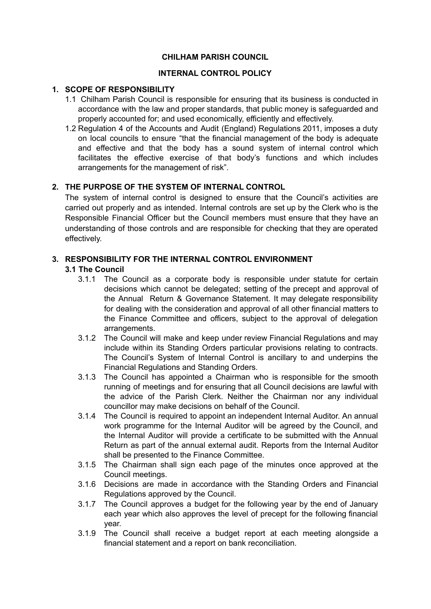### **CHILHAM PARISH COUNCIL**

### **INTERNAL CONTROL POLICY**

# **1. SCOPE OF RESPONSIBILITY**

- 1.1 Chilham Parish Council is responsible for ensuring that its business is conducted in accordance with the law and proper standards, that public money is safeguarded and properly accounted for; and used economically, efficiently and effectively.
- 1.2 Regulation 4 of the Accounts and Audit (England) Regulations 2011, imposes a duty on local councils to ensure "that the financial management of the body is adequate and effective and that the body has a sound system of internal control which facilitates the effective exercise of that body's functions and which includes arrangements for the management of risk".

## **2. THE PURPOSE OF THE SYSTEM OF INTERNAL CONTROL**

The system of internal control is designed to ensure that the Council's activities are carried out properly and as intended. Internal controls are set up by the Clerk who is the Responsible Financial Officer but the Council members must ensure that they have an understanding of those controls and are responsible for checking that they are operated effectively.

## **3. RESPONSIBILITY FOR THE INTERNAL CONTROL ENVIRONMENT**

# **3.1 The Council**

- 3.1.1 The Council as a corporate body is responsible under statute for certain decisions which cannot be delegated; setting of the precept and approval of the Annual Return & Governance Statement. It may delegate responsibility for dealing with the consideration and approval of all other financial matters to the Finance Committee and officers, subject to the approval of delegation arrangements.
- 3.1.2 The Council will make and keep under review Financial Regulations and may include within its Standing Orders particular provisions relating to contracts. The Council's System of Internal Control is ancillary to and underpins the Financial Regulations and Standing Orders.
- 3.1.3 The Council has appointed a Chairman who is responsible for the smooth running of meetings and for ensuring that all Council decisions are lawful with the advice of the Parish Clerk. Neither the Chairman nor any individual councillor may make decisions on behalf of the Council.
- 3.1.4 The Council is required to appoint an independent Internal Auditor. An annual work programme for the Internal Auditor will be agreed by the Council, and the Internal Auditor will provide a certificate to be submitted with the Annual Return as part of the annual external audit. Reports from the Internal Auditor shall be presented to the Finance Committee.
- 3.1.5 The Chairman shall sign each page of the minutes once approved at the Council meetings.
- 3.1.6 Decisions are made in accordance with the Standing Orders and Financial Regulations approved by the Council.
- 3.1.7 The Council approves a budget for the following year by the end of January each year which also approves the level of precept for the following financial year.
- 3.1.9 The Council shall receive a budget report at each meeting alongside a financial statement and a report on bank reconciliation.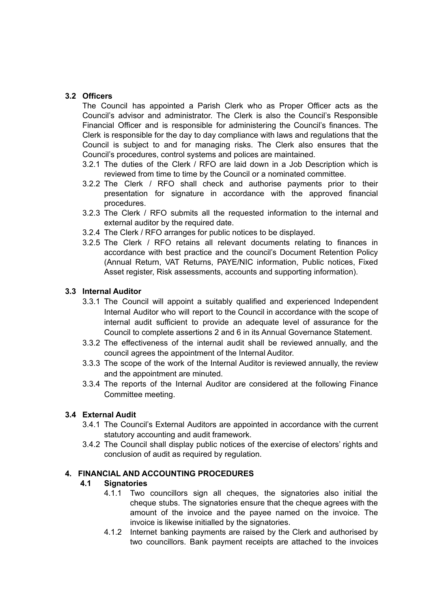# **3.2 Officers**

The Council has appointed a Parish Clerk who as Proper Officer acts as the Council's advisor and administrator. The Clerk is also the Council's Responsible Financial Officer and is responsible for administering the Council's finances. The Clerk is responsible for the day to day compliance with laws and regulations that the Council is subject to and for managing risks. The Clerk also ensures that the Council's procedures, control systems and polices are maintained.

- 3.2.1 The duties of the Clerk / RFO are laid down in a Job Description which is reviewed from time to time by the Council or a nominated committee.
- 3.2.2 The Clerk / RFO shall check and authorise payments prior to their presentation for signature in accordance with the approved financial procedures.
- 3.2.3 The Clerk / RFO submits all the requested information to the internal and external auditor by the required date.
- 3.2.4 The Clerk / RFO arranges for public notices to be displayed.
- 3.2.5 The Clerk / RFO retains all relevant documents relating to finances in accordance with best practice and the council's Document Retention Policy (Annual Return, VAT Returns, PAYE/NIC information, Public notices, Fixed Asset register, Risk assessments, accounts and supporting information).

## **3.3 Internal Auditor**

- 3.3.1 The Council will appoint a suitably qualified and experienced Independent Internal Auditor who will report to the Council in accordance with the scope of internal audit sufficient to provide an adequate level of assurance for the Council to complete assertions 2 and 6 in its Annual Governance Statement.
- 3.3.2 The effectiveness of the internal audit shall be reviewed annually, and the council agrees the appointment of the Internal Auditor.
- 3.3.3 The scope of the work of the Internal Auditor is reviewed annually, the review and the appointment are minuted.
- 3.3.4 The reports of the Internal Auditor are considered at the following Finance Committee meeting.

### **3.4 External Audit**

- 3.4.1 The Council's External Auditors are appointed in accordance with the current statutory accounting and audit framework.
- 3.4.2 The Council shall display public notices of the exercise of electors' rights and conclusion of audit as required by regulation.

### **4. FINANCIAL AND ACCOUNTING PROCEDURES**

### **4.1 Signatories**

- 4.1.1 Two councillors sign all cheques, the signatories also initial the cheque stubs. The signatories ensure that the cheque agrees with the amount of the invoice and the payee named on the invoice. The invoice is likewise initialled by the signatories.
- 4.1.2 Internet banking payments are raised by the Clerk and authorised by two councillors. Bank payment receipts are attached to the invoices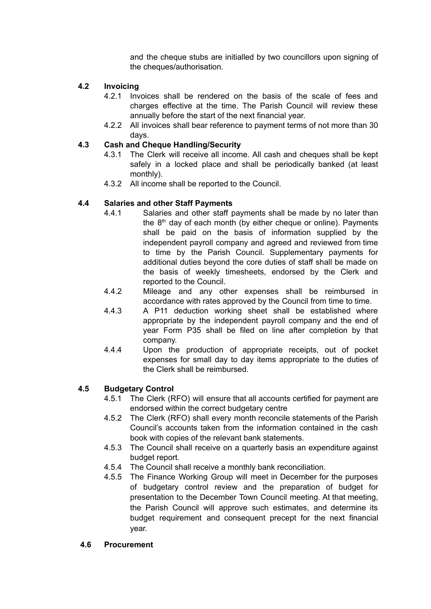and the cheque stubs are initialled by two councillors upon signing of the cheques/authorisation.

# **4.2 Invoicing**

- 4.2.1 Invoices shall be rendered on the basis of the scale of fees and charges effective at the time. The Parish Council will review these annually before the start of the next financial year.
- 4.2.2 All invoices shall bear reference to payment terms of not more than 30 days.

### **4.3 Cash and Cheque Handling/Security**

- 4.3.1 The Clerk will receive all income. All cash and cheques shall be kept safely in a locked place and shall be periodically banked (at least monthly).
- 4.3.2 All income shall be reported to the Council.

# **4.4 Salaries and other Staff Payments**

- 4.4.1 Salaries and other staff payments shall be made by no later than the 8<sup>th</sup> day of each month (by either cheque or online). Payments shall be paid on the basis of information supplied by the independent payroll company and agreed and reviewed from time to time by the Parish Council. Supplementary payments for additional duties beyond the core duties of staff shall be made on the basis of weekly timesheets, endorsed by the Clerk and reported to the Council.
- 4.4.2 Mileage and any other expenses shall be reimbursed in accordance with rates approved by the Council from time to time.
- 4.4.3 A P11 deduction working sheet shall be established where appropriate by the independent payroll company and the end of year Form P35 shall be filed on line after completion by that company.
- 4.4.4 Upon the production of appropriate receipts, out of pocket expenses for small day to day items appropriate to the duties of the Clerk shall be reimbursed.

### **4.5 Budgetary Control**

- 4.5.1 The Clerk (RFO) will ensure that all accounts certified for payment are endorsed within the correct budgetary centre
- 4.5.2 The Clerk (RFO) shall every month reconcile statements of the Parish Council's accounts taken from the information contained in the cash book with copies of the relevant bank statements.
- 4.5.3 The Council shall receive on a quarterly basis an expenditure against budget report.
- 4.5.4 The Council shall receive a monthly bank reconciliation.
- 4.5.5 The Finance Working Group will meet in December for the purposes of budgetary control review and the preparation of budget for presentation to the December Town Council meeting. At that meeting, the Parish Council will approve such estimates, and determine its budget requirement and consequent precept for the next financial year.

### **4.6 Procurement**